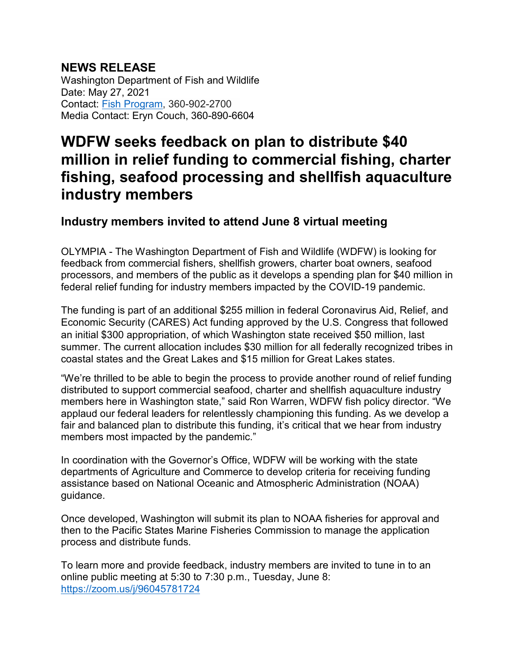## **NEWS RELEASE**

Washington Department of Fish and Wildlife Date: May 27, 2021 Contact: [Fish Program,](mailto:fishpgm@dfw.wa.gov) 360-902-2700 Media Contact: Eryn Couch, 360-890-6604

## **WDFW seeks feedback on plan to distribute \$40 million in relief funding to commercial fishing, charter fishing, seafood processing and shellfish aquaculture industry members**

## **Industry members invited to attend June 8 virtual meeting**

OLYMPIA - The Washington Department of Fish and Wildlife (WDFW) is looking for feedback from commercial fishers, shellfish growers, charter boat owners, seafood processors, and members of the public as it develops a spending plan for \$40 million in federal relief funding for industry members impacted by the COVID-19 pandemic.

The funding is part of an additional \$255 million in federal Coronavirus Aid, Relief, and Economic Security (CARES) Act funding approved by the U.S. Congress that followed an initial \$300 appropriation, of which Washington state received \$50 million, last summer. The current allocation includes \$30 million for all federally recognized tribes in coastal states and the Great Lakes and \$15 million for Great Lakes states.

"We're thrilled to be able to begin the process to provide another round of relief funding distributed to support commercial seafood, charter and shellfish aquaculture industry members here in Washington state," said Ron Warren, WDFW fish policy director. "We applaud our federal leaders for relentlessly championing this funding. As we develop a fair and balanced plan to distribute this funding, it's critical that we hear from industry members most impacted by the pandemic."

In coordination with the Governor's Office, WDFW will be working with the state departments of Agriculture and Commerce to develop criteria for receiving funding assistance based on National Oceanic and Atmospheric Administration (NOAA) guidance.

Once developed, Washington will submit its plan to NOAA fisheries for approval and then to the Pacific States Marine Fisheries Commission to manage the application process and distribute funds.

To learn more and provide feedback, industry members are invited to tune in to an online public meeting at 5:30 to 7:30 p.m., Tuesday, June 8: <https://zoom.us/j/96045781724>